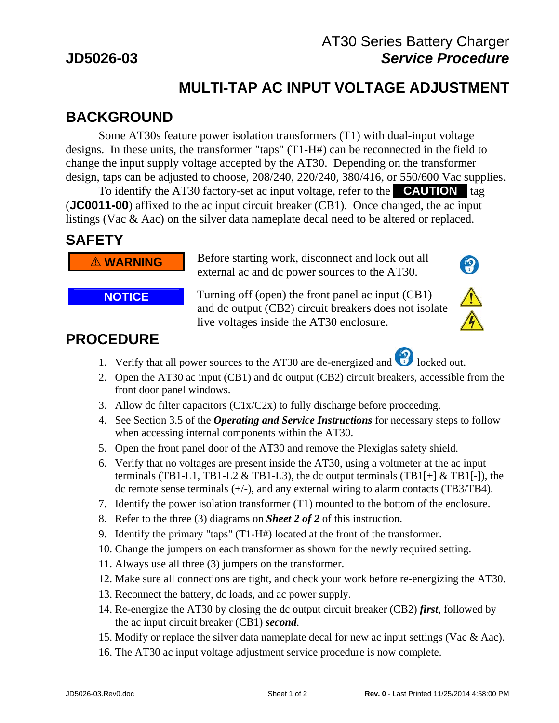#### AT30 Series Battery Charger **JD5026-03** *Service Procedure*

 $\left( \begin{matrix} 0 \\ 1 \end{matrix} \right)$ 

# **MULTI-TAP AC INPUT VOLTAGE ADJUSTMENT**

## **BACKGROUND**

 Some AT30s feature power isolation transformers (T1) with dual-input voltage designs. In these units, the transformer "taps" (T1-H#) can be reconnected in the field to change the input supply voltage accepted by the AT30. Depending on the transformer design, taps can be adjusted to choose, 208/240, 220/240, 380/416, or 550/600 Vac supplies.

To identify the AT30 factory-set ac input voltage, refer to the **CAUTION** tag (**JC0011-00**) affixed to the ac input circuit breaker (CB1). Once changed, the ac input listings (Vac & Aac) on the silver data nameplate decal need to be altered or replaced.

#### **SAFETY**

*M* WARNING Before starting work, disconnect and lock out all external ac and dc power sources to the AT30.

**NOTICE** Turning off (open) the front panel ac input (CB1) and dc output (CB2) circuit breakers does not isolate live voltages inside the AT30 enclosure.

## **PROCEDURE**

- 1. Verify that all power sources to the AT30 are de-energized and  $\bigcirc$  locked out.
- 2. Open the AT30 ac input (CB1) and dc output (CB2) circuit breakers, accessible from the front door panel windows.
- 3. Allow dc filter capacitors (C1x/C2x) to fully discharge before proceeding.
- 4. See Section 3.5 of the *Operating and Service Instructions* for necessary steps to follow when accessing internal components within the AT30.
- 5. Open the front panel door of the AT30 and remove the Plexiglas safety shield.
- 6. Verify that no voltages are present inside the AT30, using a voltmeter at the ac input terminals (TB1-L1, TB1-L2  $\&$  TB1-L3), the dc output terminals (TB1[+]  $\&$  TB1[-]), the dc remote sense terminals  $(+/-)$ , and any external wiring to alarm contacts (TB3/TB4).
- 7. Identify the power isolation transformer (T1) mounted to the bottom of the enclosure.
- 8. Refer to the three (3) diagrams on *Sheet 2 of 2* of this instruction.
- 9. Identify the primary "taps" (T1-H#) located at the front of the transformer.
- 10. Change the jumpers on each transformer as shown for the newly required setting.
- 11. Always use all three (3) jumpers on the transformer.
- 12. Make sure all connections are tight, and check your work before re-energizing the AT30.
- 13. Reconnect the battery, dc loads, and ac power supply.
- 14. Re-energize the AT30 by closing the dc output circuit breaker (CB2) *first*, followed by the ac input circuit breaker (CB1) *second*.
- 15. Modify or replace the silver data nameplate decal for new ac input settings (Vac & Aac).
- 16. The AT30 ac input voltage adjustment service procedure is now complete.